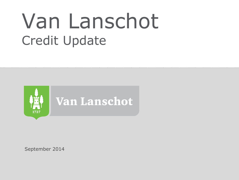# Van Lanschot Credit Update



September 2014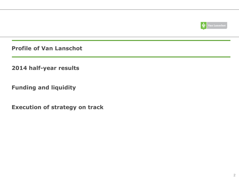

**Profile of Van Lanschot**

**2014 half-year results**

**Funding and liquidity**

**Execution of strategy on track**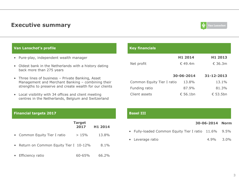### **Executive summary**



### **Van Lanschot's profile**

- Pure-play, independent wealth manager
- Oldest bank in the Netherlands with a history dating back more than 275 years
- Three lines of business Private Banking, Asset Management and Merchant Banking – combining their strengths to preserve and create wealth for our clients
- Local visibility with 34 offices and client meeting centres in the Netherlands, Belgium and Switzerland

| <b>Key financials</b>      |            |                  |
|----------------------------|------------|------------------|
|                            | H1 2014    | H1 2013          |
| Net profit                 | €49.4m     | $\epsilon$ 36.3m |
|                            |            |                  |
|                            | 30-06-2014 | $31 - 12 - 2013$ |
| Common Equity Tier I ratio | 13.8%      | 13.1%            |
| Funding ratio              | 87.9%      | 81.3%            |
| Client assets              | €.56.1bn   | € 53.5bn         |

#### **Financial targets 2017 Basel III Basel III**

|                                         | <b>Target</b><br>2017 | H1 2014 |
|-----------------------------------------|-----------------------|---------|
| • Common Equity Tier I ratio            | $>15\%$               | 13.8%   |
| • Return on Common Equity Tier I 10-12% |                       | 8.1%    |
| • Efficiency ratio                      | 60-65%                | 66.2%   |

#### **30-06-2014 Norm**

- Fully-loaded Common Equity Tier I ratio 11.6% 9.5%
- Leverage ratio 4.9% 3.0%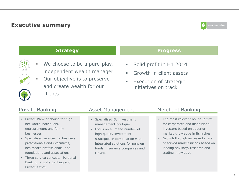### **Executive summary**



### **Strategy Progress**



- We choose to be a pure-play, independent wealth manager
- **Our objective is to preserve** and create wealth for our clients

- **Solid profit in H1 2014**
- **Growth in client assets**
- **Execution of strategic** initiatives on track

- **Private Bank of choice for high** net-worth individuals, entrepreneurs and family businesses
- **Specialised services for business** professionals and executives, healthcare professionals, and foundations and associations
- **Three service concepts: Personal** Banking, Private Banking and Private Office

### Private Banking The Asset Management Merchant Banking

- **Specialised EU investment** management boutique
- **Focus on a limited number of** high quality investment strategies in combination with integrated solutions for pension funds, insurance companies and **HNWIS**

- The most relevant boutique firm for corporates and institutional investors based on superior market knowledge in its niches
- Growth through increased share of served market niches based on leading advisory, research and trading knowledge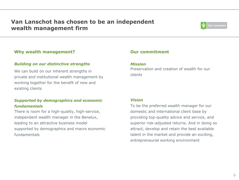### **Van Lanschot has chosen to be an independent wealth management firm**



### **Why wealth management?**

### *Building on our distinctive strengths*

We can build on our inherent strengths in private and institutional wealth management by working together for the benefit of new and existing clients

### *Supported by demographics and economic fundamentals*

There is room for a high-quality, high-service, independent wealth manager in the Benelux, leading to an attractive business model supported by demographics and macro economic fundamentals

### **Our commitment**

#### *Mission*

Preservation and creation of wealth for our clients

### *Vision*

To be the preferred wealth manager for our domestic and international client base by providing top-quality advice and service, and superior risk-adjusted returns. And in doing so attract, develop and retain the best available talent in the market and provide an exciting, entrepreneurial working environment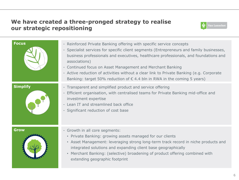### **We have created a three-pronged strategy to realise our strategic repositioning**



| <b>Focus</b>    | - Reinforced Private Banking offering with specific service concepts<br>- Specialist services for specific client segments (Entrepreneurs and family businesses,<br>business professionals and executives, healthcare professionals, and foundations and<br>associations)<br>- Continued focus on Asset Management and Merchant Banking<br>- Active reduction of activities without a clear link to Private Banking (e.g. Corporate<br>Banking: target 50% reduction of $\epsilon$ 4.4 bln in RWA in the coming 5 years) |
|-----------------|--------------------------------------------------------------------------------------------------------------------------------------------------------------------------------------------------------------------------------------------------------------------------------------------------------------------------------------------------------------------------------------------------------------------------------------------------------------------------------------------------------------------------|
| <b>Simplify</b> | - Transparent and simplified product and service offering<br>- Efficient organisation, with centralised teams for Private Banking mid-office and<br>investment expertise<br>- Lean IT and streamlined back office<br>- Significant reduction of cost base                                                                                                                                                                                                                                                                |
| <b>Grow</b>     | - Growth in all core segments:<br>• Private Banking: growing assets managed for our clients<br>• Asset Management: leveraging strong long-term track record in niche products and<br>integrated solutions and expanding client base geographically<br>• Merchant Banking: (selective) broadening of product offering combined with<br>extending geographic footprint                                                                                                                                                     |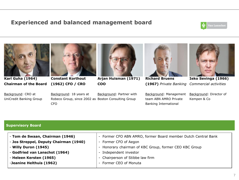### **Experienced and balanced management board**





**Karl Guha (1964) Chairman of the Board**

Background: CRO at UniCredit Banking Group



**Constant Korthout (1962) CFO / CRO**

CFO

Background: 18 years at

Robeco Group, since 2002 as Boston Consulting Group



**Arjan Huisman (1971) COO**

Background: Partner with



*Commercial activities* **(1967)** *Private Banking* **Richard Bruens** 



**Ieko Sevinga (1966)**

Background: Management Background: Director of team ABN AMRO Private Banking International

Kempen & Co

## **Supervisory Board**

| - Tom de Swaan, Chairman (1946)        | - Former CFO ABN AMRO, former Board member Dutch Central Bank |
|----------------------------------------|---------------------------------------------------------------|
| - Jos Streppel, Deputy Chairman (1940) | - Former CFO of Aegon                                         |
| - Willy Duron (1945)                   | - Honorary chairman of KBC Group, former CEO KBC Group        |
| - Godfried van Lanschot (1964)         | - Independent investor                                        |
| - Heleen Kersten (1965)                | - Chairperson of Stibbe law firm                              |
| -Jeanine Helthuis (1962)               | - Former CEO of Monuta                                        |
|                                        |                                                               |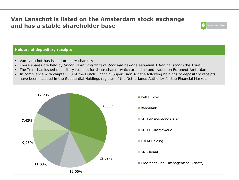### **Van Lanschot is listed on the Amsterdam stock exchange and has a stable shareholder base**



### **Holders of depositary receipts**

- Van Lanschot has issued ordinary shares A
- These shares are held by *Stichting Administratiekantoor van gewone aandelen A Van Lanschot* (the Trust)
- The Trust has issued depositary receipts for these shares, which are listed and traded on Euronext Amterdam
- In compliance with chapter 5.3 of the Dutch Financial Supervision Act the following holdings of depositary receipts have been included in the Substantial Holdings register of the Netherlands Authority for the Financial Markets

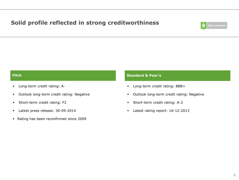### **Solid profile reflected in strong creditworthiness**



- **Long-term credit rating: A-**
- Outlook long-term credit rating: Negative
- **Short-term credit rating: F2**
- Latest press release: 30-09-2014
- Rating has been reconfirmed since 2009

### **Fitch Standard & Poor's**

- **Long-term credit rating: BBB+**
- Outlook long-term credit rating: Negative
- **Short-term credit rating: A-2**
- Latest rating report: 16-12-2013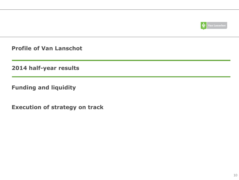

**Profile of Van Lanschot**

**2014 half-year results**

**Funding and liquidity**

**Execution of strategy on track**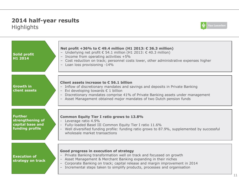### **2014 half-year results**  Highlights



| <b>Solid profit</b><br>H1 2014                                            | Net profit +36% to €49.4 million (H1 2013: € 36.3 million)<br>- Underlying net profit € 54.1 million (H1 2013: € 40.3 million)<br>- Income from operating activities +5%<br>- Cost reduction on track; personnel costs lower, other administrative expenses higher<br>- Loan loss provisioning -14%                                               |
|---------------------------------------------------------------------------|---------------------------------------------------------------------------------------------------------------------------------------------------------------------------------------------------------------------------------------------------------------------------------------------------------------------------------------------------|
| <b>Growth in</b><br>client assets                                         | Client assets increase to $\epsilon$ 56.1 billion<br>- Inflow of discretionary mandates and savings and deposits in Private Banking<br>- Evi developing towards $\epsilon$ 1 billion<br>- Discretionary mandates comprise 41% of Private Banking assets under management<br>- Asset Management obtained major mandates of two Dutch pension funds |
| <b>Further</b><br>strengthening of<br>capital base and<br>funding profile | <b>Common Equity Tier I ratio grows to 13.8%</b><br>Leverage ratio 4.9%<br>Fully-loaded Basel III Common Equity Tier I ratio 11.6%<br>Well diversified funding profile: funding ratio grows to 87.9%, supplemented by successful<br>wholesale market transactions                                                                                 |
| <b>Execution of</b><br>strategy on track                                  | Good progress in execution of strategy<br>- Private Banking transformation well on track and focussed on growth<br>- Asset Management & Merchant Banking expanding in their niches<br>- Corporate Banking on track; capital release and margin improvement in 2014<br>- Incremental steps taken to simplify products, processes and organisation  |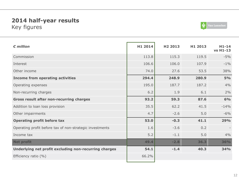### **2014 half-year results**  Key figures



| $\epsilon$ million                                       | H1 2014 | H <sub>2</sub> 2013 | H1 2013 | $H1-14$<br>vs H1-13 |
|----------------------------------------------------------|---------|---------------------|---------|---------------------|
| Commission                                               | 113.8   | 115.3               | 119.5   | $-5%$               |
| Interest                                                 | 106.6   | 106.0               | 107.9   | $-1\%$              |
| Other income                                             | 74.0    | 27.6                | 53.5    | 38%                 |
| <b>Income from operating activities</b>                  | 294.4   | 248.9               | 280.9   | 5%                  |
| Operating expenses                                       | 195.0   | 187.7               | 187.2   | 4%                  |
| Non-recurring charges                                    | 6.2     | 1.9                 | 6.1     | 2%                  |
| <b>Gross result after non-recurring charges</b>          | 93.2    | 59.3                | 87.6    | 6%                  |
| Addition to loan loss provision                          | 35.5    | 62.2                | 41.5    | $-14%$              |
| Other impairments                                        | 4.7     | $-2.6$              | 5.0     | $-6%$               |
| <b>Operating profit before tax</b>                       | 53.0    | $-0.3$              | 41.1    | 29%                 |
| Operating profit before tax of non-strategic investments | 1.6     | $-3.6$              | 0.2     |                     |
| Income tax                                               | 5.2     | $-1.1$              | 5.0     | 4%                  |
| <b>Net profit</b>                                        | 49.4    | $-2.8$              | 36.3    | 36%                 |
| Underlying net profit excluding non-recurring charges    | 54.1    | $-1.4$              | 40.3    | <b>34%</b>          |
| Efficiency ratio (%)                                     | 66.2%   |                     |         |                     |
|                                                          |         |                     |         |                     |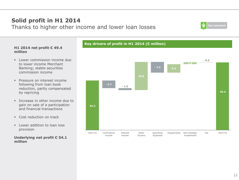

### **Key drivers of profit in H1 2014 (€ million)**

# Thanks to higher other income and lower loan losses

**Solid profit in H1 2014**

#### **H1 2014 net profit € 49.4 million**

- **Lower commission income due** to lower income Merchant Banking; stable securities commission income
- **Pressure on interest income** following from loan book reduction, partly compensated by repricing
- Increase in other income due to gain on sale of a participation and financial transactions
- **Cost reduction on track**
- $\blacksquare$  Lower addition to loan loss provision

### **Underlying net profit € 54.1 million**

# Van Lanschot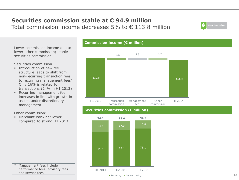### **Securities commission stable at € 94.9 million** Total commission income decreases 5% to  $\epsilon$  113.8 million



Lower commission income due to lower other commission; stable securities commission.

Securities commission:

- **Introduction of new fee** structure leads to shift from non-recurring transaction fees to recurring management fees\*. Only 16% is related to transactions (24% in H1 2013)
- **Recurring management fee** increases in line with growth in assets under discretionary management

Other commission:

 Merchant Banking: lower compared to strong H1 2013



### **Securities commission (€ million)**

**Commission income (€ million)**



Management fees include performance fees, advisory fees and service fees

#### Recurring Non-recurring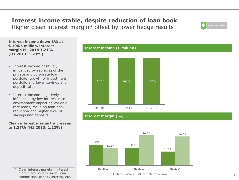### **Interest income stable, despite reduction of loan book**

Higher clean interest margin\* offset by lower hedge results

**Interest income down 1% at € 106.6 million, interest margin H1 2014 1.21% (H1 2013: 1.23%)**

- **Interest income positively** influenced by repricing of the private and corporate loan portfolio, growth of investment portfolio and lower savings and deposit rates
- **Interest income negatively** influenced by low interest rate environment impacting variable rate loans, focus on loan book reduction and higher level of savings and deposits

**Clean interest margin\* increases to 1.27% (H1 2013: 1.22%)**





**Interest income (€ million)**



 $'$  Clean interest margin = interest margin adjusted for initial loan commission, penalty interest, etc.

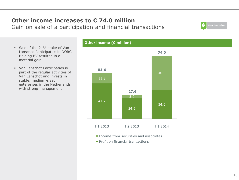### **Other income increases to € 74.0 million** Gain on sale of a participation and financial transactions

- Sale of the 21% stake of Van Lanschot Participaties in DORC Holding BV resulted in a material gain
- Van Lanschot Participaties is part of the regular activities of Van Lanschot and invests in stable, medium-sized enterprises in the Netherlands with strong management

# **Other income (€ million)** 41.7 24.6 34.0 11.8 3.0 40.0 **53.6 27.6 74.0** H1 2013 H2 2013 H1 2014

- **Income from securities and associates**
- **Profit on financial transactions**

Van Lanschot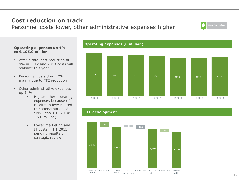#### 17

### **Cost reduction on track**

Personnel costs lower, other administrative expenses higher

### **Operating expenses up 4% to € 195.0 million**

- After a total cost reduction of 9% in 2012 and 2013 costs will stabilize this year
- Personnel costs down 7% mainly due to FTE reduction
- **•** Other administrative expenses up 24%
	- **Higher other operating** expenses because of resolution levy related to nationalisation of SNS Reaal (H1 2014:  $\epsilon$  5.6 million)
	- **Lower marketing and** IT costs in H1 2013 pending results of strategic review





### **FTE development**



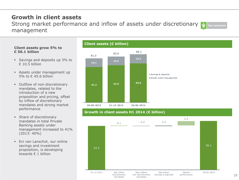### **Growth in client assets**

Strong market performance and inflow of assets under discretionary **Van Lanschot** management

### **Client assets grow 5% to € 56.1 billion**

- **Savings and deposits up 3% to**  $€ 10.5$  billion
- Assets under management up 5% to € 45.6 billion
- **Outflow of non-discretionary** mandates, related to the introduction of a new proposition and pricing, offset by inflow of discretionary mandates and strong market performance
- **Share of discretionary** mandates in total Private Banking assets under management increased to 41% (2013: 40%)
- **Evi van Lanschot, our online** savings and investment proposition, is developing towards € 1 billion





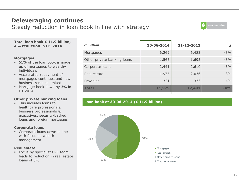### **Deleveraging continues**

Steady reduction in loan book in line with strategy



#### **Total loan book € 11.9 billion; 4% reduction in H1 2014**

#### **Mortgages**

- 51% of the loan book is made up of mortgages to wealthy individuals
- Accelerated repayment of mortgages continues and new business remains limited
- Mortgage book down by 3% in H1 2014

### **Other private banking loans**

**This includes loans to** healthcare professionals, business professionals & executives, security-backed loans and foreign mortgages

#### **Corporate loans**

 Corporate loans down in line with focus on wealth management

#### **Real estate**

**Focus by specialist CRE team** leads to reduction in real estate loans of 3%

| $\epsilon$ million          | 30-06-2014 | 31-12-2013 | Δ      |
|-----------------------------|------------|------------|--------|
| Mortgages                   | 6,269      | 6,483      | $-3%$  |
| Other private banking loans | 1,565      | 1,695      | $-8%$  |
| Corporate loans             | 2,441      | 2,610      | $-6%$  |
| Real estate                 | 1,975      | 2,036      | $-3%$  |
| Provision                   | $-321$     | $-333$     | $-4\%$ |
| <b>Total</b>                | 11,929     | 12,491     | $-4%$  |
|                             |            |            |        |

### **Loan book at 30-06-2014 (€ 11.9 billion)**

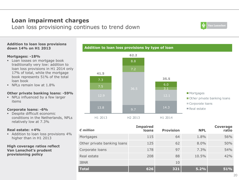### **Loan impairment charges**

Loan loss provisioning continues to trend down



#### **Addition to loan loss provisions down 14% on H1 2013**

#### **Mortgages: -18%**

- **Loan losses on mortgage book** traditionally very low: addition to loan loss provisions in H1 2014 only 17% of total, while the mortgage book represents 51% of the total loan book
- NPLs remain low at 1.8%

### **Other private banking loans: -59%**

 NPLs influenced by a few larger items

#### **Corporate loans: -6%**

Despite difficult economic conditions in the Netherlands, NPLs relatively low at 7.3%

#### **Real estate: +4%**

Addition to loan loss provisions 4% higher than in H1 2013

#### **High coverage ratios reflect Van Lanschot's prudent provisioning policy**



| $\epsilon$ million          | <b>Impaired</b><br>loans | <b>Provision</b> | <b>NPL</b> | <b>Coverage</b><br>ratio |
|-----------------------------|--------------------------|------------------|------------|--------------------------|
| Mortgages                   | 115                      | 64               | 1.8%       | 56%                      |
| Other private banking loans | 125                      | 62               | 8.0%       | 50%                      |
| Corporate loans             | 178                      | 97               | $7.3\%$    | 54%                      |
| Real estate                 | 208                      | 88               | 10.5%      | 42%                      |
| <b>IBNR</b>                 |                          | 10               |            |                          |
| <b>Total</b>                | 626                      | 321              | 5.2%       | 51%                      |

### **Addition to loan loss provisions by type of loan**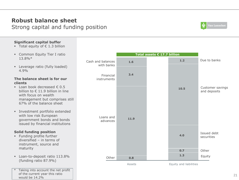### **Robust balance sheet** Strong capital and funding position



### **Significant capital buffer**

- Total equity of  $\epsilon$  1.3 billion
- **Example 2** Common Equity Tier I ratio 13.8%\*
- **Leverage ratio (fully loaded)** 4.9%

#### **The balance sheet is for our clients**

- $\blacksquare$  Loan book decreased  $\epsilon$  0.5 billion to € 11.9 billion in line with focus on wealth management but comprises still 67% of the balance sheet
- Investment portfolio extended with low risk European government bonds and bonds issued by financial institutions

### **Solid funding position**

- **Funding profile further** diversified – in terms of instrument, source and maturity
- **Loan-to-deposit ratio 113.8%** (funding ratio 87.9%)
- Taking into account the net profit of the current year this ratio would be 14.2%

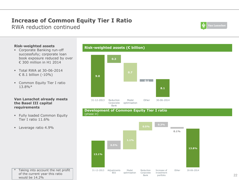### **Increase of Common Equity Tier I Ratio** RWA reduction continued

Van Lanschot

#### **Risk-weighted assets**

- Corporate Banking run-off successfully; corporate loan book exposure reduced by over € 300 million in H1 2014
- Total RWA at 30-06-2014 € 8.1 billion (-10%)
- **Common Equity Tier I ratio** 13.8%\*

#### **Van Lanschot already meets the Basel III capital requirements**

**Fully loaded Common Equity** Tier I ratio 11.6%

Taking into account the net profit of the current year this ratio

**Leverage ratio 4.9%** 

would be 14.2%

#### **Risk-weighted assets (€ billion)**



#### **Development of Common Equity Tier I ratio**  (phase in)



22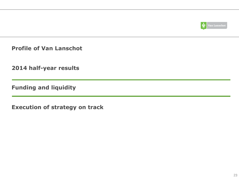

**Profile of Van Lanschot**

**2014 half-year results**

**Funding and liquidity**

**Execution of strategy on track**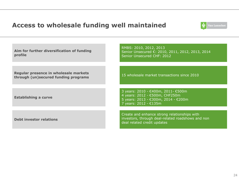### **Access to wholesale funding well maintained**



| Aim for further diversification of funding<br>profile                         | RMBS: 2010, 2012, 2013<br>Senior Unsecured €: 2010, 2011, 2012, 2013, 2014<br>Senior Unsecured CHF: 2012                              |  |
|-------------------------------------------------------------------------------|---------------------------------------------------------------------------------------------------------------------------------------|--|
|                                                                               |                                                                                                                                       |  |
| Regular presence in wholesale markets<br>through (un)secured funding programs | 15 wholesale market transactions since 2010                                                                                           |  |
|                                                                               |                                                                                                                                       |  |
| <b>Establishing a curve</b>                                                   | 3 years: 2010 - €400m, 2011 - €500m<br>4 years: 2012 - €500m, CHF250m<br>5 years: 2013 - €300m, 2014 - €200m<br>7 years: 2012 - €135m |  |
|                                                                               |                                                                                                                                       |  |
| <b>Debt investor relations</b>                                                | Create and enhance strong relationships with<br>investors, through deal-related roadshows and non<br>deal related credit updates      |  |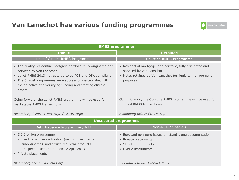### **Van Lanschot has various funding programmes**



| <b>RMBS programmes</b>                                                                                                                                                                                                                                                                               |                                                                                                                                                                  |  |  |
|------------------------------------------------------------------------------------------------------------------------------------------------------------------------------------------------------------------------------------------------------------------------------------------------------|------------------------------------------------------------------------------------------------------------------------------------------------------------------|--|--|
| <b>Public</b>                                                                                                                                                                                                                                                                                        | <b>Retained</b>                                                                                                                                                  |  |  |
| Lunet / Citadel RMBS Programmes                                                                                                                                                                                                                                                                      | Courtine RMBS Programme                                                                                                                                          |  |  |
| • Top quality residential mortgage portfolio, fully originated and<br>serviced by Van Lanschot<br>• Lunet RMBS 2013-I structured to be PCS and DSA compliant<br>• The Citadel programmes were successfully established with<br>the objective of diversifying funding and creating eligible<br>assets | • Residential mortgage loan portfolio, fully originated and<br>serviced by Van Lanschot<br>• Notes retained by Van Lanschot for liquidity management<br>purposes |  |  |
| Going forward, the Lunet RMBS programme will be used for<br>marketable RMBS transactions                                                                                                                                                                                                             | Going forward, the Courtine RMBS programme will be used for<br>retained RMBS transactions                                                                        |  |  |
| Bloomberg ticker: LUNET Mtge / CITAD Mtge                                                                                                                                                                                                                                                            | <b>Bloomberg ticker: CRTIN Mtge</b>                                                                                                                              |  |  |
|                                                                                                                                                                                                                                                                                                      | <b>Unsecured programmes</b>                                                                                                                                      |  |  |
| Debt Issuance Programme / MTN                                                                                                                                                                                                                                                                        | Non-MTN / Specials                                                                                                                                               |  |  |
| $\bullet$ $\epsilon$ 5.0 billion programme<br>- used for wholesale funding (senior unsecured and<br>subordinated), and structured retail products<br>Prospectus last updated on 12 April 2013<br>$\overline{\phantom{a}}$<br>• Private placements                                                    | • Euro and non-euro issues on stand-alone documentation<br>• Private placements<br>• Structured products<br>• Hybrid instruments                                 |  |  |
| Bloomberg ticker: LANSNA Corp                                                                                                                                                                                                                                                                        | Bloomberg ticker: LANSNA Corp                                                                                                                                    |  |  |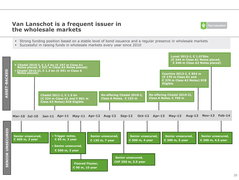### **Van Lanschot is a frequent issuer in the wholesale markets**



- Strong funding position based on a stable level of bond issuance and a regular presence in wholesale markets
- Successful in raising funds in wholesale markets every year since 2010

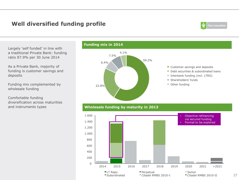### **Well diversified funding profile**



27

Largely 'self funded' in line with a traditional Private Bank: funding ratio 87.9% per 30 June 2014

As a Private Bank, majority of funding is customer savings and deposits

Funding mix complemented by wholesale funding

Comfortable funding diversification across maturities and instruments types

### **Funding mix in 2014**



#### ■ Customer savings and deposits

- Debt securities & subordinated loans
- $\blacksquare$  Interbank funding (incl. LTRO)
- Shareholders' funds
- Other funding

### **Wholesale funding by maturity in 2013**

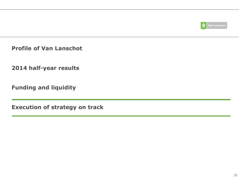

**Profile of Van Lanschot**

**2014 half-year results**

**Funding and liquidity**

**Execution of strategy on track**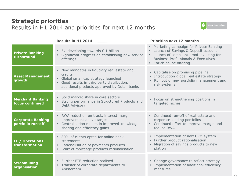### **Strategic priorities** Results in H1 2014 and priorities for next 12 months



|                                               | <b>Results in H1 2014</b>                                                                                                                                                                                | <b>Priorities next 12 months</b>                                                                                                                                                                         |
|-----------------------------------------------|----------------------------------------------------------------------------------------------------------------------------------------------------------------------------------------------------------|----------------------------------------------------------------------------------------------------------------------------------------------------------------------------------------------------------|
| <b>Private Banking</b><br>turnaround          | Evi developing towards $\epsilon$ 1 billion<br>$\blacksquare$<br>Significant progress on establishing new service<br>offerings                                                                           | • Marketing campaign for Private Banking<br>Launch of Savings & Deposit account<br>Launch of compliant proof investing for<br><b>Business Professionals &amp; Executives</b><br>• Enrich online offering |
| <b>Asset Management</b><br>growth             | New mandates in fiduciary real estate and<br>$\blacksquare$<br>credits<br>Global small cap strategy launched<br>Good results in third party distribution,<br>additional products approved by Dutch banks | • Capitalise on promising pipeline<br>Introduction global real estate strategy<br>Roll out of new portfolio management and<br>٠<br>risk systems                                                          |
| <b>Merchant Banking</b><br>focus continued    | · Solid market share in core sectors<br>Strong performance in Structured Products and<br>Debt Advisory                                                                                                   | • Focus on strengthening positions in<br>targeted niches                                                                                                                                                 |
| <b>Corporate Banking</b><br>portfolio run-off | RWA reduction on track, interest margin<br>٠,<br>improvement above target<br>Centralisation results in improved knowledge<br>ш.<br>sharing and efficiency gains                                          | • Continued run-off of real estate and<br>corporate lending portfolios<br>• Continued effort to improve margin and<br>reduce RWA                                                                         |
| IT / Operations<br>transformation             | • 80% of clients opted for online bank<br>statements<br>Rationalisation of payments products<br>$\blacksquare$<br>Start of mortgage products rationalisation                                             | · Implementation of new CRM system<br>Further product rationalisation<br>۰.<br>Migration of savings products to new<br>platform                                                                          |
| <b>Streamlining</b><br>organisation           | Further FTE reduction realised<br>Transfer of corporate departments to<br>ш<br>Amsterdam                                                                                                                 | • Change governance to reflect strategy<br>· Implementation of additional efficiency<br>measures                                                                                                         |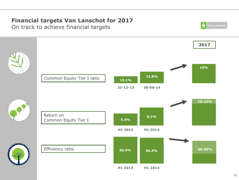# **Financial targets Van Lanschot for 2017**

On track to achieve financial targets

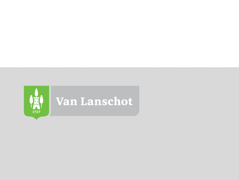